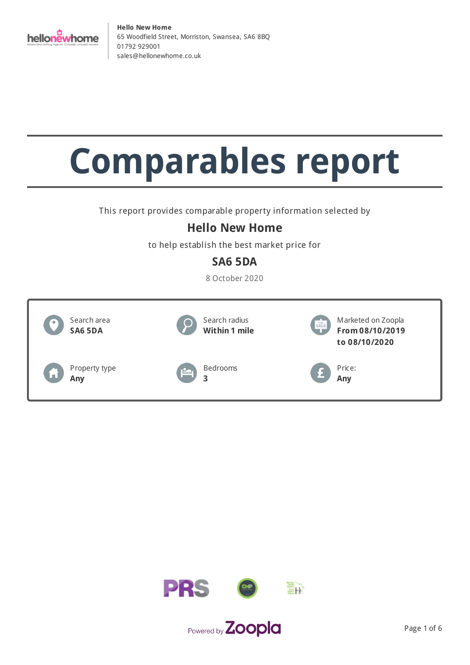

# **Comparables report**

This report provides comparable property information selected by

## **Hello New Home**

to help establish the best market price for

## **SA6 5DA**

8 October 2020



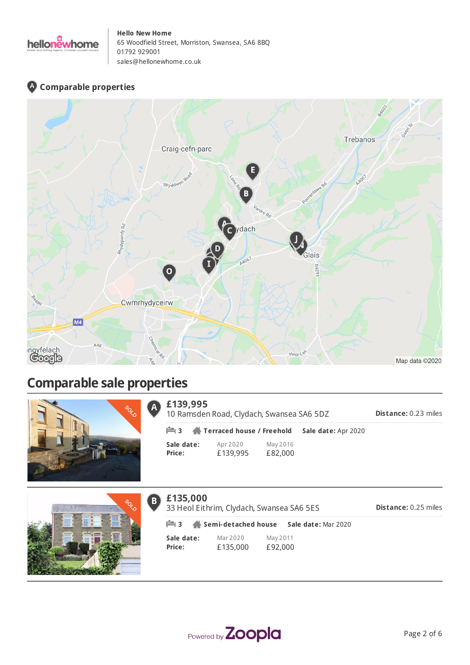

#### **Comparable properties**



# **Comparable sale properties**

| ROD |
|-----|
|     |
|     |

| £139,995<br>10 Ramsden Road, Clydach, Swansea SA6 5DZ |                                                       |                     |                     |  |
|-------------------------------------------------------|-------------------------------------------------------|---------------------|---------------------|--|
|                                                       | $\mathbb{R}$ 3 $\mathbb{A}$ Terraced house / Freehold |                     | Sale date: Apr 2020 |  |
| Sale date:<br>Price:                                  | Apr 2020<br>£139,995                                  | May 2016<br>£82,000 |                     |  |



| B | £135,000<br>33 Heol Eithrim, Clydach, Swansea SA6 5ES |                      |                                         | <b>Distance: 0.25 miles</b> |
|---|-------------------------------------------------------|----------------------|-----------------------------------------|-----------------------------|
|   | $\mathbb{H}$ 3                                        |                      | Semi-detached house Sale date: Mar 2020 |                             |
|   | Sale date:<br>Price:                                  | Mar 2020<br>£135,000 | May 2011<br>£92,000                     |                             |



**Distance:** 0.23 miles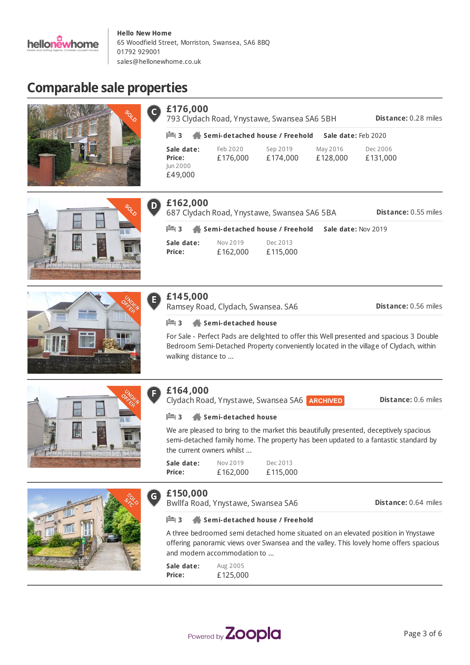

> **Sale date: Price:**

**£176,000**

Jun 2000 £49,000

 $\overline{\mathbf{D}}$ 

## **Comparable sale properties**









|                   |    | ORROR |  |
|-------------------|----|-------|--|
| <b>Controlled</b> |    |       |  |
| <b>COLORED BY</b> | mm |       |  |
|                   |    |       |  |
|                   |    |       |  |



#### **£145,000**

**Sale date: Price:**

**£162,000**

Ramsey Road, Clydach, Swansea. SA6

Nov 2019 £162,000

Feb 2020 £176,000

793 Clydach Road, Ynystawe, Swansea SA6 5BH

687 Clydach Road, Ynystawe, Swansea SA6 5BA

Sep 2019 £174,000

**3 Semi-detached house / Freehold Sale date:** Feb 2020

Dec 2013 £115,000

**3 Semi-detached house / Freehold Sale date:** Nov 2019

May 2016 £128,000 Dec 2006 £131,000

**Distance:** 0.28 miles

**Distance:** 0.56 miles

**Distance:** 0.55 miles

#### **3 Semi-detached house**

For Sale - Perfect Pads are delighted to offer this Well presented and spacious 3 Double Bedroom Semi-Detached Property conveniently located in the village of Clydach, within walking distance to ...



#### **£164,000**

Clydach Road, Ynystawe, Swansea SA6

**Distance:** 0.6 miles

#### **3 Semi-detached house**

We are pleased to bring to the market this beautifully presented, deceptively spacious semi-detached family home. The property has been updated to a fantastic standard by the current owners whilst ...

**Sale date: Price:** Nov 2019 £162,000 Dec 2013 £115,000



#### **£150,000**

Bwllfa Road, Ynystawe, Swansea SA6

**Distance:** 0.64 miles

#### **3 Semi-detached house / Freehold**

A three bedroomed semi detached home situated on an elevated position in Ynystawe offering panoramic views over Swansea and the valley. This lovely home offers spacious and modern accommodation to ...

| Sale date: | Aug 2005 |
|------------|----------|
| Price:     | £125,000 |

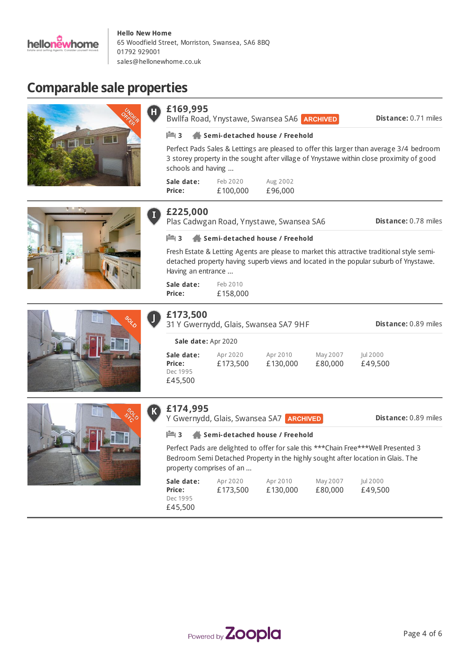

## **Comparable sale properties**

| £169,995<br>н                               | Bwllfa Road, Ynystawe, Swansea SA6 ARCHIVED          |                      |                     | Distance: 0.71 miles                                                                                                                                                                |  |
|---------------------------------------------|------------------------------------------------------|----------------------|---------------------|-------------------------------------------------------------------------------------------------------------------------------------------------------------------------------------|--|
| $\mathbb{M}$ 3                              | Semi-detached house / Freehold                       |                      |                     |                                                                                                                                                                                     |  |
|                                             | schools and having                                   |                      |                     | Perfect Pads Sales & Lettings are pleased to offer this larger than average 3/4 bedroom<br>3 storey property in the sought after village of Ynystawe within close proximity of good |  |
| Sale date:<br>Price:                        | Feb 2020<br>£100,000                                 | Aug 2002<br>£96,000  |                     |                                                                                                                                                                                     |  |
| £225,000                                    | Plas Cadwgan Road, Ynystawe, Swansea SA6             |                      |                     | <b>Distance: 0.78 miles</b>                                                                                                                                                         |  |
| $\mathbb{H}$ 3                              | Semi-detached house / Freehold<br>Having an entrance |                      |                     | Fresh Estate & Letting Agents are please to market this attractive traditional style semi-<br>detached property having superb views and located in the popular suburb of Ynystawe.  |  |
| Sale date:<br>Price:                        | Feb 2010<br>£158,000                                 |                      |                     |                                                                                                                                                                                     |  |
| £173,500                                    | 31 Y Gwernydd, Glais, Swansea SA7 9HF                |                      |                     | Distance: 0.89 miles                                                                                                                                                                |  |
|                                             | Sale date: Apr 2020                                  |                      |                     |                                                                                                                                                                                     |  |
| Sale date:<br>Price:<br>Dec 1995<br>£45,500 | Apr 2020<br>£173,500                                 | Apr 2010<br>£130,000 | May 2007<br>£80,000 | Jul 2000<br>£49,500                                                                                                                                                                 |  |
| £174,995                                    | Y Gwernydd, Glais, Swansea SA7 ARCHIVED              |                      |                     | Distance: 0.89 miles                                                                                                                                                                |  |
| $\mathbb{H}$ 3                              | Semi-detached house / Freehold                       |                      |                     | Perfect Pads are delighted to offer for sale this *** Chain Free*** Well Presented 3<br>Bedroom Semi Detached Property in the highly sought after location in Glais. The            |  |

| property comprises of an                           |                      |                      |                     |                     |
|----------------------------------------------------|----------------------|----------------------|---------------------|---------------------|
| Sale date:<br><b>Price:</b><br>Dec 1995<br>£45,500 | Apr 2020<br>£173,500 | Apr 2010<br>£130,000 | May 2007<br>£80,000 | lul 2000<br>£49,500 |

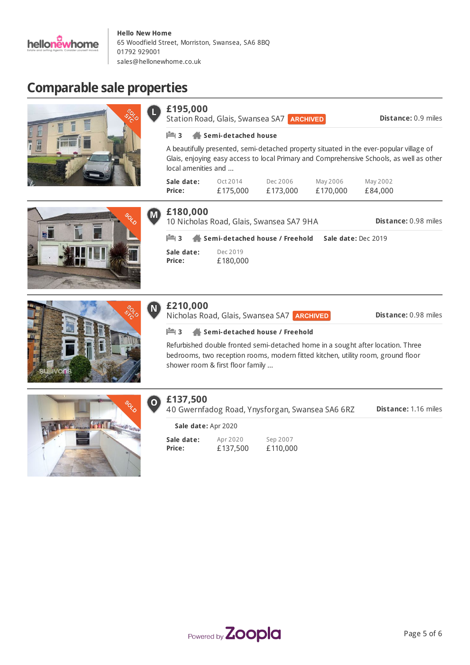

## **Comparable sale properties**







#### **£180,000** M

**Sale date: Price:**

local amenities and ...

**£195,000**

**Distance:** 0.98 miles 10 Nicholas Road, Glais, Swansea SA7 9HA

A beautifully presented, semi-detached property situated in the ever-popular village of Glais, enjoying easy access to local Primary and Comprehensive Schools, as well as other

> May 2006 £170,000

May 2002 £84,000

**3 Semi-detached house / Freehold Sale date:** Dec 2019

Dec 2006 £173,000

**Sale date: Price:** Dec 2019 £180,000

Oct 2014 £175,000

**3 Semi-detached house**

Station Road, Glais, Swansea SA7 **ARCHIVED** 

#### **£210,000 N**

Nicholas Road, Glais, Swansea SA7

**Distance:** 0.98 miles

**Distance:** 0.9 miles

#### **3 Semi-detached house / Freehold**

Refurbished double fronted semi-detached home in a sought after location. Three bedrooms, two reception rooms, modern fitted kitchen, utility room, ground floor shower room & first floor family ...



## **£137,500**

**Distance:** 1.16 miles 40 Gwernfadog Road, Ynysforgan, Swansea SA6 6RZ

| Sale date: Apr 2020 |          |          |  |
|---------------------|----------|----------|--|
| Sale date:          | Apr 2020 | Sep 2007 |  |
| Price:              | £137,500 | £110,000 |  |